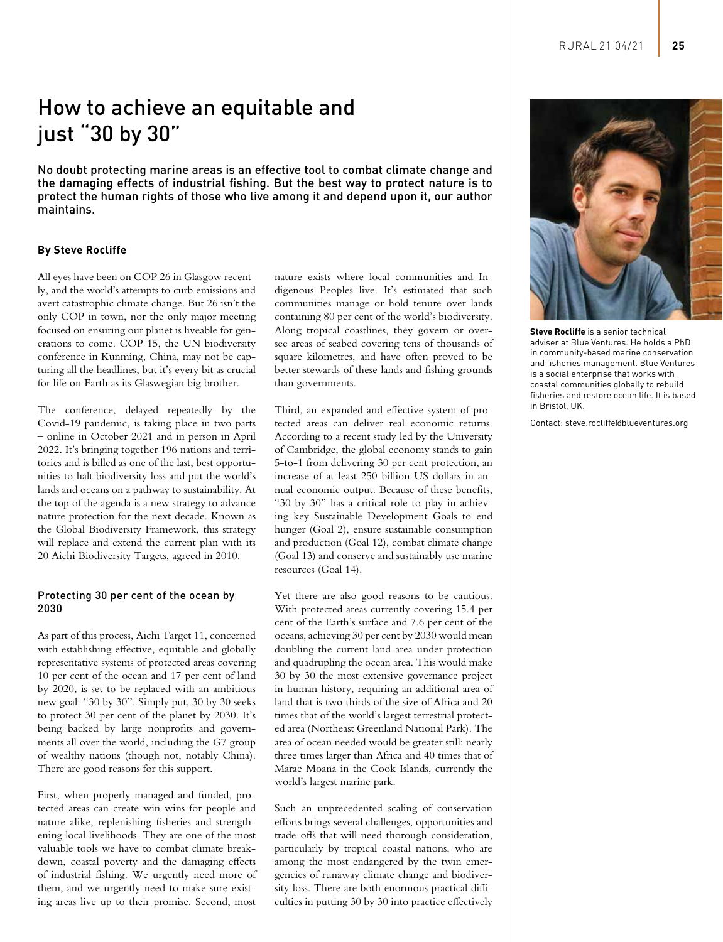# How to achieve an equitable and just "30 by 30"

No doubt protecting marine areas is an effective tool to combat climate change and the damaging effects of industrial fishing. But the best way to protect nature is to protect the human rights of those who live among it and depend upon it, our author maintains.

## **By Steve Rocliffe**

All eyes have been on COP 26 in Glasgow recently, and the world's attempts to curb emissions and avert catastrophic climate change. But 26 isn't the only COP in town, nor the only major meeting focused on ensuring our planet is liveable for generations to come. COP 15, the UN biodiversity conference in Kunming, China, may not be capturing all the headlines, but it's every bit as crucial for life on Earth as its Glaswegian big brother.

The conference, delayed repeatedly by the Covid-19 pandemic, is taking place in two parts – online in October 2021 and in person in April 2022. It's bringing together 196 nations and territories and is billed as one of the last, best opportunities to halt biodiversity loss and put the world's lands and oceans on a pathway to sustainability. At the top of the agenda is a new strategy to advance nature protection for the next decade. Known as the Global Biodiversity Framework, this strategy will replace and extend the current plan with its 20 Aichi Biodiversity Targets, agreed in 2010.

#### Protecting 30 per cent of the ocean by 2030

As part of this process, Aichi Target 11, concerned with establishing effective, equitable and globally representative systems of protected areas covering 10 per cent of the ocean and 17 per cent of land by 2020, is set to be replaced with an ambitious new goal: "30 by 30". Simply put, 30 by 30 seeks to protect 30 per cent of the planet by 2030. It's being backed by large nonprofits and governments all over the world, including the G7 group of wealthy nations (though not, notably China). There are good reasons for this support.

First, when properly managed and funded, protected areas can create win-wins for people and nature alike, replenishing fisheries and strengthening local livelihoods. They are one of the most valuable tools we have to combat climate breakdown, coastal poverty and the damaging effects of industrial fishing. We urgently need more of them, and we urgently need to make sure existing areas live up to their promise. Second, most nature exists where local communities and Indigenous Peoples live. It's estimated that such communities manage or hold tenure over lands containing 80 per cent of the world's biodiversity. Along tropical coastlines, they govern or oversee areas of seabed covering tens of thousands of square kilometres, and have often proved to be better stewards of these lands and fishing grounds than governments.

Third, an expanded and effective system of protected areas can deliver real economic returns. According to a recent study led by the University of Cambridge, the global economy stands to gain 5-to-1 from delivering 30 per cent protection, an increase of at least 250 billion US dollars in annual economic output. Because of these benefits, "30 by 30" has a critical role to play in achieving key Sustainable Development Goals to end hunger (Goal 2), ensure sustainable consumption and production (Goal 12), combat climate change (Goal 13) and conserve and sustainably use marine resources (Goal 14).

Yet there are also good reasons to be cautious. With protected areas currently covering 15.4 per cent of the Earth's surface and 7.6 per cent of the oceans, achieving 30 per cent by 2030 would mean doubling the current land area under protection and quadrupling the ocean area. This would make 30 by 30 the most extensive governance project in human history, requiring an additional area of land that is two thirds of the size of Africa and 20 times that of the world's largest terrestrial protected area (Northeast Greenland National Park). The area of ocean needed would be greater still: nearly three times larger than Africa and 40 times that of Marae Moana in the Cook Islands, currently the world's largest marine park.

Such an unprecedented scaling of conservation efforts brings several challenges, opportunities and trade-offs that will need thorough consideration, particularly by tropical coastal nations, who are among the most endangered by the twin emergencies of runaway climate change and biodiversity loss. There are both enormous practical difficulties in putting 30 by 30 into practice effectively



**Steve Rocliffe** is a senior technical adviser at Blue Ventures. He holds a PhD in community-based marine conservation and fisheries management. Blue Ventures is a social enterprise that works with coastal communities globally to rebuild fisheries and restore ocean life. It is based in Bristol, UK.

Contact: steve.rocliffe@blueventures.org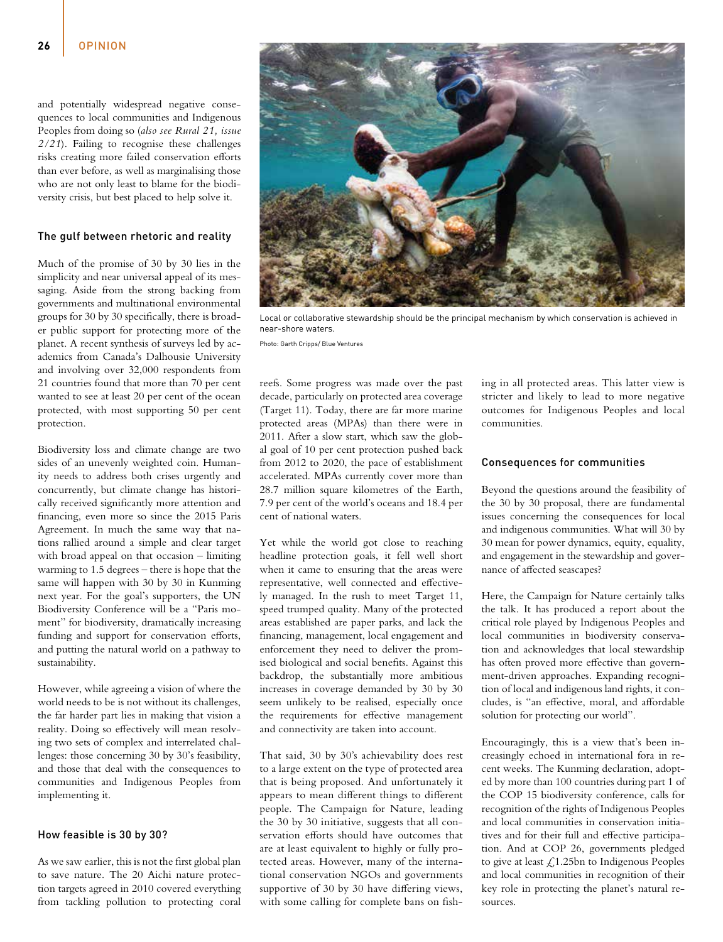and potentially widespread negative consequences to local communities and Indigenous Peoples from doing so (*also see Rural 21, issue 2/21*). Failing to recognise these challenges risks creating more failed conservation efforts than ever before, as well as marginalising those who are not only least to blame for the biodiversity crisis, but best placed to help solve it.

### The gulf between rhetoric and reality

Much of the promise of 30 by 30 lies in the simplicity and near universal appeal of its messaging. Aside from the strong backing from governments and multinational environmental groups for 30 by 30 specifically, there is broader public support for protecting more of the planet. A recent synthesis of surveys led by academics from Canada's Dalhousie University and involving over 32,000 respondents from 21 countries found that more than 70 per cent wanted to see at least 20 per cent of the ocean protected, with most supporting 50 per cent protection.

Biodiversity loss and climate change are two sides of an unevenly weighted coin. Humanity needs to address both crises urgently and concurrently, but climate change has historically received significantly more attention and financing, even more so since the 2015 Paris Agreement. In much the same way that nations rallied around a simple and clear target with broad appeal on that occasion – limiting warming to 1.5 degrees – there is hope that the same will happen with 30 by 30 in Kunming next year. For the goal's supporters, the UN Biodiversity Conference will be a "Paris moment" for biodiversity, dramatically increasing funding and support for conservation efforts, and putting the natural world on a pathway to sustainability.

However, while agreeing a vision of where the world needs to be is not without its challenges, the far harder part lies in making that vision a reality. Doing so effectively will mean resolving two sets of complex and interrelated challenges: those concerning 30 by 30's feasibility, and those that deal with the consequences to communities and Indigenous Peoples from implementing it.

#### How feasible is 30 by 30?

As we saw earlier, this is not the first global plan to save nature. The 20 Aichi nature protection targets agreed in 2010 covered everything from tackling pollution to protecting coral

reefs. Some progress was made over the past decade, particularly on protected area coverage (Target 11). Today, there are far more marine protected areas (MPAs) than there were in 2011. After a slow start, which saw the global goal of 10 per cent protection pushed back from 2012 to 2020, the pace of establishment accelerated. MPAs currently cover more than 28.7 million square kilometres of the Earth, 7.9 per cent of the world's oceans and 18.4 per cent of national waters.

Yet while the world got close to reaching headline protection goals, it fell well short when it came to ensuring that the areas were representative, well connected and effectively managed. In the rush to meet Target 11, speed trumped quality. Many of the protected areas established are paper parks, and lack the financing, management, local engagement and enforcement they need to deliver the promised biological and social benefits. Against this backdrop, the substantially more ambitious increases in coverage demanded by 30 by 30 seem unlikely to be realised, especially once the requirements for effective management and connectivity are taken into account.

That said, 30 by 30's achievability does rest to a large extent on the type of protected area that is being proposed. And unfortunately it appears to mean different things to different people. The Campaign for Nature, leading the 30 by 30 initiative, suggests that all conservation efforts should have outcomes that are at least equivalent to highly or fully protected areas. However, many of the international conservation NGOs and governments supportive of 30 by 30 have differing views, with some calling for complete bans on fishing in all protected areas. This latter view is stricter and likely to lead to more negative outcomes for Indigenous Peoples and local communities.

#### Consequences for communities

Beyond the questions around the feasibility of the 30 by 30 proposal, there are fundamental issues concerning the consequences for local and indigenous communities. What will 30 by 30 mean for power dynamics, equity, equality, and engagement in the stewardship and governance of affected seascapes?

Here, the Campaign for Nature certainly talks the talk. It has produced a report about the critical role played by Indigenous Peoples and local communities in biodiversity conservation and acknowledges that local stewardship has often proved more effective than government-driven approaches. Expanding recognition of local and indigenous land rights, it concludes, is "an effective, moral, and affordable solution for protecting our world".

Encouragingly, this is a view that's been increasingly echoed in international fora in recent weeks. The Kunming declaration, adopted by more than 100 countries during part 1 of the COP 15 biodiversity conference, calls for recognition of the rights of Indigenous Peoples and local communities in conservation initiatives and for their full and effective participation. And at COP 26, governments pledged to give at least  $\text{\large\it \pounds}1.25\text{bn}$  to Indigenous Peoples and local communities in recognition of their key role in protecting the planet's natural resources.



near-shore waters.

Photo: Garth Cripps/ Blue Ventures